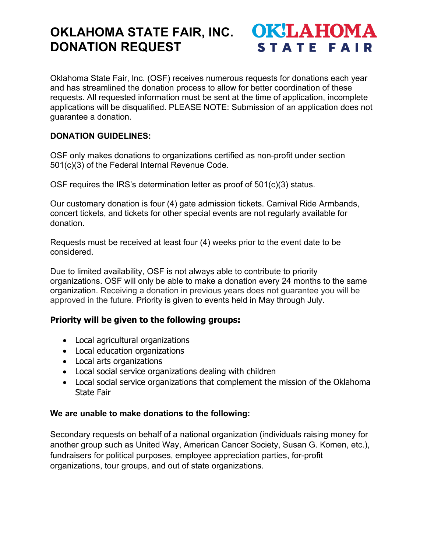# **OKLAHOMA STATE FAIR, INC. DONATION REQUEST**

**OK!LAHOMA STATE FAIR** 

Oklahoma State Fair, Inc. (OSF) receives numerous requests for donations each year and has streamlined the donation process to allow for better coordination of these requests. All requested information must be sent at the time of application, incomplete applications will be disqualified. PLEASE NOTE: Submission of an application does not guarantee a donation.

## **DONATION GUIDELINES:**

OSF only makes donations to organizations certified as non-profit under section 501(c)(3) of the Federal Internal Revenue Code.

OSF requires the IRS's determination letter as proof of 501(c)(3) status.

Our customary donation is four (4) gate admission tickets. Carnival Ride Armbands, concert tickets, and tickets for other special events are not regularly available for donation.

Requests must be received at least four (4) weeks prior to the event date to be considered.

Due to limited availability, OSF is not always able to contribute to priority organizations. OSF will only be able to make a donation every 24 months to the same organization. Receiving a donation in previous years does not guarantee you will be approved in the future. Priority is given to events held in May through July.

### **Priority will be given to the following groups:**

- Local agricultural organizations
- Local education organizations
- Local arts organizations
- Local social service organizations dealing with children
- Local social service organizations that complement the mission of the Oklahoma State Fair

### **We are unable to make donations to the following:**

Secondary requests on behalf of a national organization (individuals raising money for another group such as United Way, American Cancer Society, Susan G. Komen, etc.), fundraisers for political purposes, employee appreciation parties, for-profit organizations, tour groups, and out of state organizations.